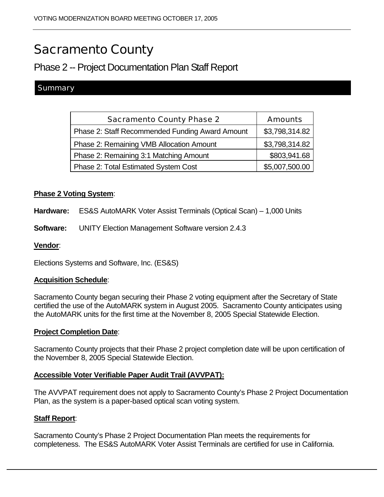# Sacramento County

# Phase 2 -- Project Documentation Plan Staff Report

# Summary

| <b>Sacramento County Phase 2</b>                | <b>Amounts</b> |
|-------------------------------------------------|----------------|
| Phase 2: Staff Recommended Funding Award Amount | \$3,798,314.82 |
| Phase 2: Remaining VMB Allocation Amount        | \$3,798,314.82 |
| Phase 2: Remaining 3:1 Matching Amount          | \$803,941.68   |
| Phase 2: Total Estimated System Cost            | \$5,007,500.00 |

# **Phase 2 Voting System**:

**Hardware:** ES&S AutoMARK Voter Assist Terminals (Optical Scan) – 1,000 Units

**Software:** UNITY Election Management Software version 2.4.3

### **Vendor**:

Elections Systems and Software, Inc. (ES&S)

# **Acquisition Schedule**:

Sacramento County began securing their Phase 2 voting equipment after the Secretary of State certified the use of the AutoMARK system in August 2005. Sacramento County anticipates using the AutoMARK units for the first time at the November 8, 2005 Special Statewide Election.

#### **Project Completion Date**:

Sacramento County projects that their Phase 2 project completion date will be upon certification of the November 8, 2005 Special Statewide Election.

# **Accessible Voter Verifiable Paper Audit Trail (AVVPAT):**

The AVVPAT requirement does not apply to Sacramento County's Phase 2 Project Documentation Plan, as the system is a paper-based optical scan voting system.

#### **Staff Report**:

Sacramento County's Phase 2 Project Documentation Plan meets the requirements for completeness. The ES&S AutoMARK Voter Assist Terminals are certified for use in California.